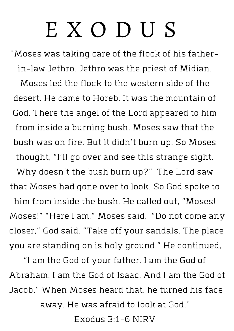## E X O D U S

"Moses was taking care of the flock of his fatherin-law Jethro. Jethro was the priest of Midian.

Moses led the flock to the western side of the desert. He came to Horeb. It was the mountain of God. There the angel of the Lord appeared to him from inside a burning bush. Moses saw that the bush was on fire. But it didn't burn up. So Moses thought, "I'll go over and see this strange sight. Why doesn't the bush burn up?" The Lord saw that Moses had gone over to look. So God spoke to him from inside the bush. He called out, "Moses! Moses!" "Here I am," Moses said. "Do not come any closer," God said. "Take off your sandals. The place

you are standing on is holy ground." He continued,

"I am the God of your father. I am the God of Abraham. I am the God of Isaac. And I am the God of Jacob." When Moses heard that, he turned his face away. He was afraid to look at God."

Exodus 3:1-6 NIRV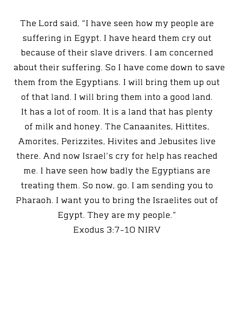The Lord said, "I have seen how my people are suffering in Egypt. I have heard them cry out because of their slave drivers. I am concerned about their suffering. So I have come down to save them from the Egyptians. I will bring them up out of that land. I will bring them into a good land. It has a lot of room. It is a land that has plenty of milk and honey. The Canaanites, Hittites, Amorites, Perizzites, Hivites and Jebusites live there. And now Israel's cry for help has reached me. I have seen how badly the Egyptians are treating them. So now, go. I am sending you to Pharaoh. I want you to bring the Israelites out of Egypt. They are my people." Exodus 3:7-10 NIRV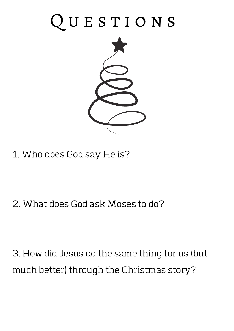## QUESTIONS



1. Who does God say He is?

2. What does God ask Moses to do?

3.Howdid Jesus do the same thing for us (but much better) through the Christmas story?